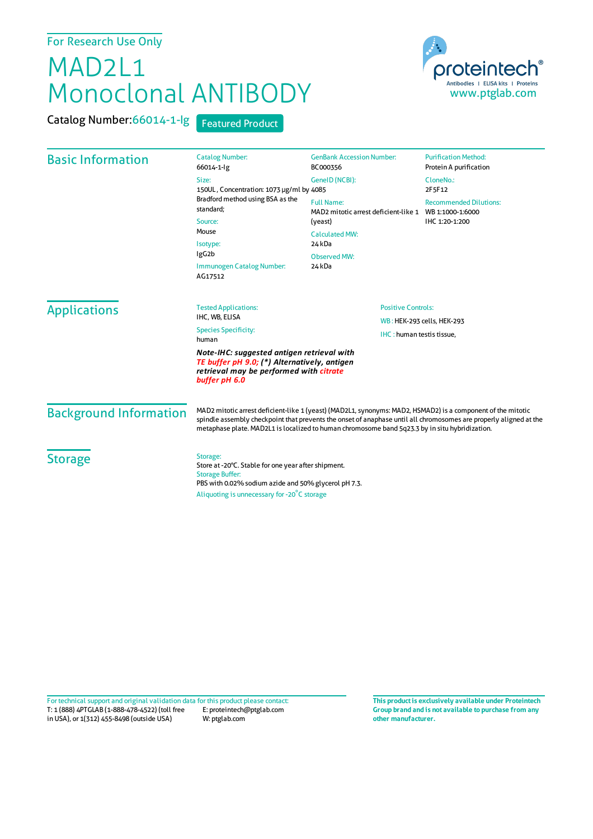## For Research Use Only

## MAD2L1 Monoclonal ANTIBODY

Catalog Number:66014-1-lg Featured Product



| <b>Basic Information</b>                                                                                                                               | <b>Catalog Number:</b><br>66014-1-lg                                                                                                                                                                                                                                                                                               | <b>GenBank Accession Number:</b><br>BC000356                                                            | <b>Purification Method:</b><br>Protein A purification               |                               |                                                         |                           |
|--------------------------------------------------------------------------------------------------------------------------------------------------------|------------------------------------------------------------------------------------------------------------------------------------------------------------------------------------------------------------------------------------------------------------------------------------------------------------------------------------|---------------------------------------------------------------------------------------------------------|---------------------------------------------------------------------|-------------------------------|---------------------------------------------------------|---------------------------|
|                                                                                                                                                        | Size:<br>150UL, Concentration: 1073 µg/ml by 4085<br>Bradford method using BSA as the<br>standard;<br>Source:<br>Mouse<br>Isotype:<br>IgG <sub>2</sub> b<br>Immunogen Catalog Number:<br>AG17512                                                                                                                                   | GeneID (NCBI):                                                                                          | CloneNo.:<br>2F5F12                                                 |                               |                                                         |                           |
|                                                                                                                                                        |                                                                                                                                                                                                                                                                                                                                    | <b>Full Name:</b><br>MAD2 mitotic arrest deficient-like 1<br>(yeast)<br><b>Calculated MW:</b><br>24 kDa | <b>Recommended Dilutions:</b><br>WB 1:1000-1:6000<br>IHC 1:20-1:200 |                               |                                                         |                           |
|                                                                                                                                                        |                                                                                                                                                                                                                                                                                                                                    |                                                                                                         |                                                                     | <b>Observed MW:</b><br>24 kDa |                                                         |                           |
|                                                                                                                                                        |                                                                                                                                                                                                                                                                                                                                    |                                                                                                         |                                                                     | <b>Applications</b>           | <b>Tested Applications:</b><br>IHC, WB, ELISA           | <b>Positive Controls:</b> |
|                                                                                                                                                        |                                                                                                                                                                                                                                                                                                                                    | <b>Species Specificity:</b><br>human                                                                    |                                                                     |                               | WB: HEK-293 cells, HEK-293<br>IHC: human testis tissue, |                           |
| Note-IHC: suggested antigen retrieval with<br>TE buffer pH 9.0; (*) Alternatively, antigen<br>retrieval may be performed with citrate<br>buffer pH 6.0 |                                                                                                                                                                                                                                                                                                                                    |                                                                                                         |                                                                     |                               |                                                         |                           |
| <b>Background Information</b>                                                                                                                          | MAD2 mitotic arrest deficient-like 1 (yeast) (MAD2L1, synonyms: MAD2, HSMAD2) is a component of the mitotic<br>spindle assembly checkpoint that prevents the onset of anaphase until all chromosomes are properly aligned at the<br>metaphase plate. MAD2L1 is localized to human chromosome band 5q23.3 by in situ hybridization. |                                                                                                         |                                                                     |                               |                                                         |                           |
| <b>Storage</b>                                                                                                                                         | Storage:<br>Store at -20°C. Stable for one year after shipment.<br><b>Storage Buffer:</b><br>PBS with 0.02% sodium azide and 50% glycerol pH 7.3.                                                                                                                                                                                  |                                                                                                         |                                                                     |                               |                                                         |                           |
|                                                                                                                                                        | Aliquoting is unnecessary for -20°C storage                                                                                                                                                                                                                                                                                        |                                                                                                         |                                                                     |                               |                                                         |                           |

T: 1 (888) 4PTGLAB (1-888-478-4522) (toll free in USA), or 1(312) 455-8498 (outside USA) E: proteintech@ptglab.com W: ptglab.com Fortechnical support and original validation data forthis product please contact: **This productis exclusively available under Proteintech**

**Group brand and is not available to purchase from any other manufacturer.**